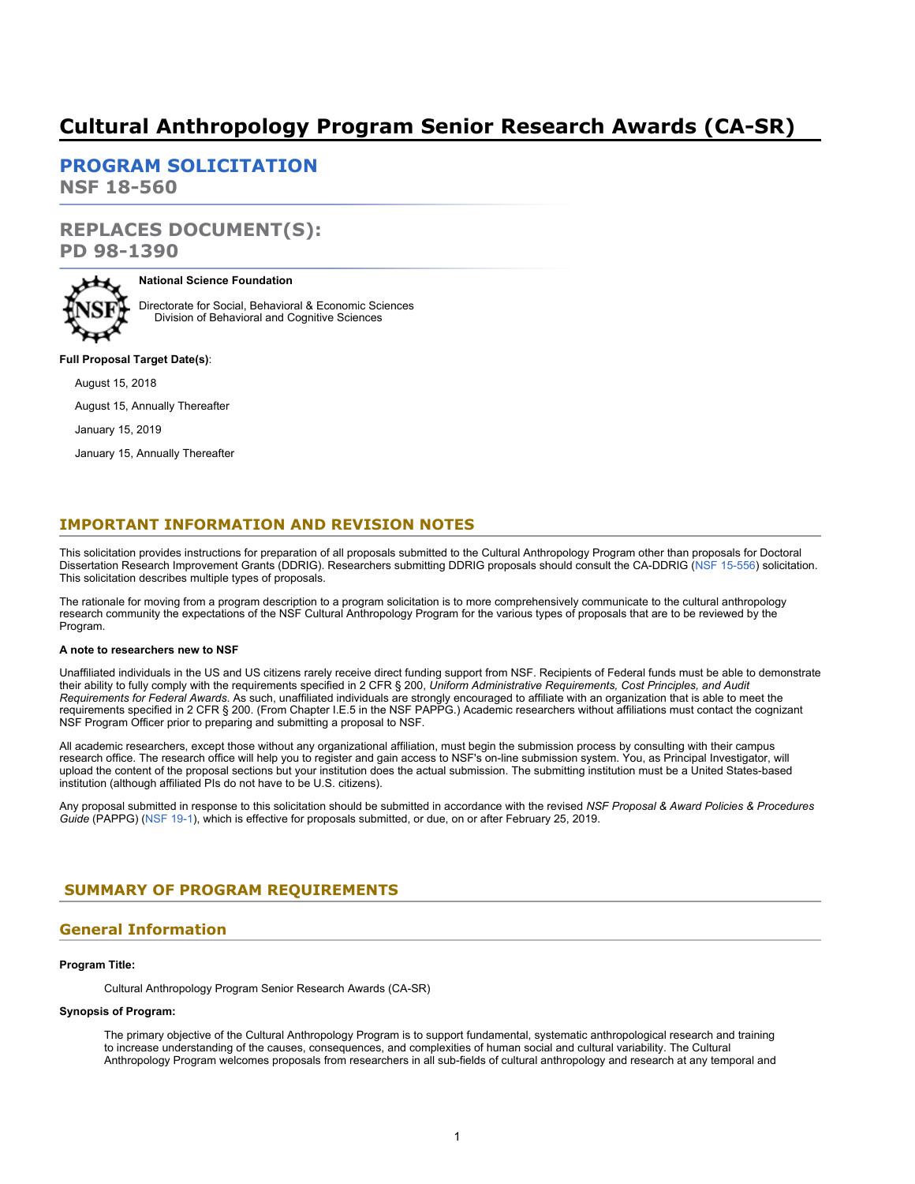# **Cultural Anthropology Program Senior Research Awards (CA-SR)**

**[PROGRAM SOLICITATION](#page-2-0) NSF 18-560**

**REPLACES DOCUMENT(S): PD 98-1390**



### **National Science Foundation**

Directorate for Social, Behavioral & Economic Sciences Division of Behavioral and Cognitive Sciences

### **Full Proposal Target Date(s)**:

August 15, 2018

August 15, Annually Thereafter

January 15, 2019

January 15, Annually Thereafter

### **IMPORTANT INFORMATION AND REVISION NOTES**

This solicitation provides instructions for preparation of all proposals submitted to the Cultural Anthropology Program other than proposals for Doctoral Dissertation Research Improvement Grants (DDRIG). Researchers submitting DDRIG proposals should consult the CA-DDRIG [\(NSF 15-556](https://www.nsf.gov/publications/pub_summ.jsp?ods_key=nsf15556)) solicitation. This solicitation describes multiple types of proposals.

The rationale for moving from a program description to a program solicitation is to more comprehensively communicate to the cultural anthropology research community the expectations of the NSF Cultural Anthropology Program for the various types of proposals that are to be reviewed by the Program.

#### **A note to researchers new to NSF**

Unaffiliated individuals in the US and US citizens rarely receive direct funding support from NSF. Recipients of Federal funds must be able to demonstrate their ability to fully comply with the requirements specified in 2 CFR § 200, *Uniform Administrative Requirements, Cost Principles, and Audit Requirements for Federal Awards*. As such, unaffiliated individuals are strongly encouraged to affiliate with an organization that is able to meet the requirements specified in 2 CFR § 200. (From Chapter I.E.5 in the NSF PAPPG.) Academic researchers without affiliations must contact the cognizant NSF Program Officer prior to preparing and submitting a proposal to NSF.

All academic researchers, except those without any organizational affiliation, must begin the submission process by consulting with their campus research office. The research office will help you to register and gain access to NSF's on-line submission system. You, as Principal Investigator, will upload the content of the proposal sections but your institution does the actual submission. The submitting institution must be a United States-based institution (although affiliated PIs do not have to be U.S. citizens).

Any proposal submitted in response to this solicitation should be submitted in accordance with the revised *NSF Proposal & Award Policies & Procedures Guide* (PAPPG) [\(NSF 19-1](https://www.nsf.gov/publications/pub_summ.jsp?ods_key=nsf19001)), which is effective for proposals submitted, or due, on or after February 25, 2019.

### <span id="page-0-0"></span>**SUMMARY OF PROGRAM REQUIREMENTS**

# **General Information**

### **Program Title:**

Cultural Anthropology Program Senior Research Awards (CA-SR)

### **Synopsis of Program:**

The primary objective of the Cultural Anthropology Program is to support fundamental, systematic anthropological research and training to increase understanding of the causes, consequences, and complexities of human social and cultural variability. The Cultural Anthropology Program welcomes proposals from researchers in all sub-fields of cultural anthropology and research at any temporal and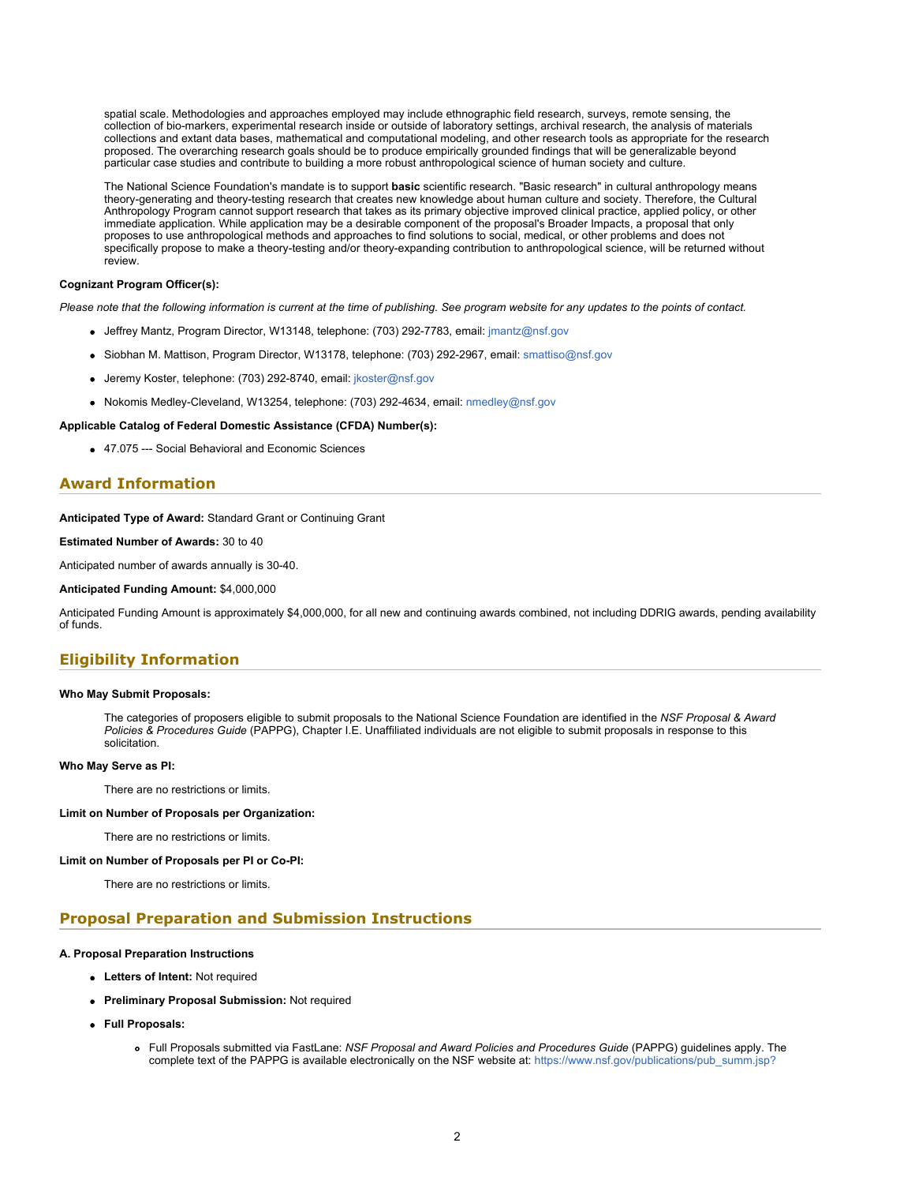spatial scale. Methodologies and approaches employed may include ethnographic field research, surveys, remote sensing, the collection of bio-markers, experimental research inside or outside of laboratory settings, archival research, the analysis of materials collections and extant data bases, mathematical and computational modeling, and other research tools as appropriate for the research proposed. The overarching research goals should be to produce empirically grounded findings that will be generalizable beyond particular case studies and contribute to building a more robust anthropological science of human society and culture.

The National Science Foundation's mandate is to support **basic** scientific research. "Basic research" in cultural anthropology means theory-generating and theory-testing research that creates new knowledge about human culture and society. Therefore, the Cultural Anthropology Program cannot support research that takes as its primary objective improved clinical practice, applied policy, or other immediate application. While application may be a desirable component of the proposal's Broader Impacts, a proposal that only proposes to use anthropological methods and approaches to find solutions to social, medical, or other problems and does not specifically propose to make a theory-testing and/or theory-expanding contribution to anthropological science, will be returned without review.

### **Cognizant Program Officer(s):**

*Please note that the following information is current at the time of publishing. See program website for any updates to the points of contact.*

- Jeffrey Mantz, Program Director, W13148, telephone: (703) 292-7783, email: [jmantz@nsf.gov](mailto:jmantz@nsf.gov)
- Siobhan M. Mattison, Program Director, W13178, telephone: (703) 292-2967, email: [smattiso@nsf.gov](mailto:smattiso@nsf.gov)
- Jeremy Koster, telephone: (703) 292-8740, email: [jkoster@nsf.gov](mailto:jkoster@nsf.gov)
- Nokomis Medley-Cleveland, W13254, telephone: (703) 292-4634, email: [nmedley@nsf.gov](mailto:nmedley@nsf.gov)

### **Applicable Catalog of Federal Domestic Assistance (CFDA) Number(s):**

47.075 --- Social Behavioral and Economic Sciences

### **Award Information**

### **Anticipated Type of Award:** Standard Grant or Continuing Grant

### **Estimated Number of Awards:** 30 to 40

Anticipated number of awards annually is 30-40.

### **Anticipated Funding Amount:** \$4,000,000

Anticipated Funding Amount is approximately \$4,000,000, for all new and continuing awards combined, not including DDRIG awards, pending availability of funds.

### **Eligibility Information**

### **Who May Submit Proposals:**

The categories of proposers eligible to submit proposals to the National Science Foundation are identified in the *NSF Proposal & Award Policies & Procedures Guide* (PAPPG), Chapter I.E. Unaffiliated individuals are not eligible to submit proposals in response to this solicitation.

#### **Who May Serve as PI:**

There are no restrictions or limits.

### **Limit on Number of Proposals per Organization:**

There are no restrictions or limits.

### **Limit on Number of Proposals per PI or Co-PI:**

There are no restrictions or limits.

### **Proposal Preparation and Submission Instructions**

#### **A. Proposal Preparation Instructions**

- **Letters of Intent:** Not required
- **Preliminary Proposal Submission:** Not required
- **Full Proposals:**
	- Full Proposals submitted via FastLane: *NSF Proposal and Award Policies and Procedures Guide* (PAPPG) guidelines apply. The complete text of the PAPPG is available electronically on the NSF website at: [https://www.nsf.gov/publications/pub\\_summ.jsp?](https://www.nsf.gov/publications/pub_summ.jsp?ods_key=pappg)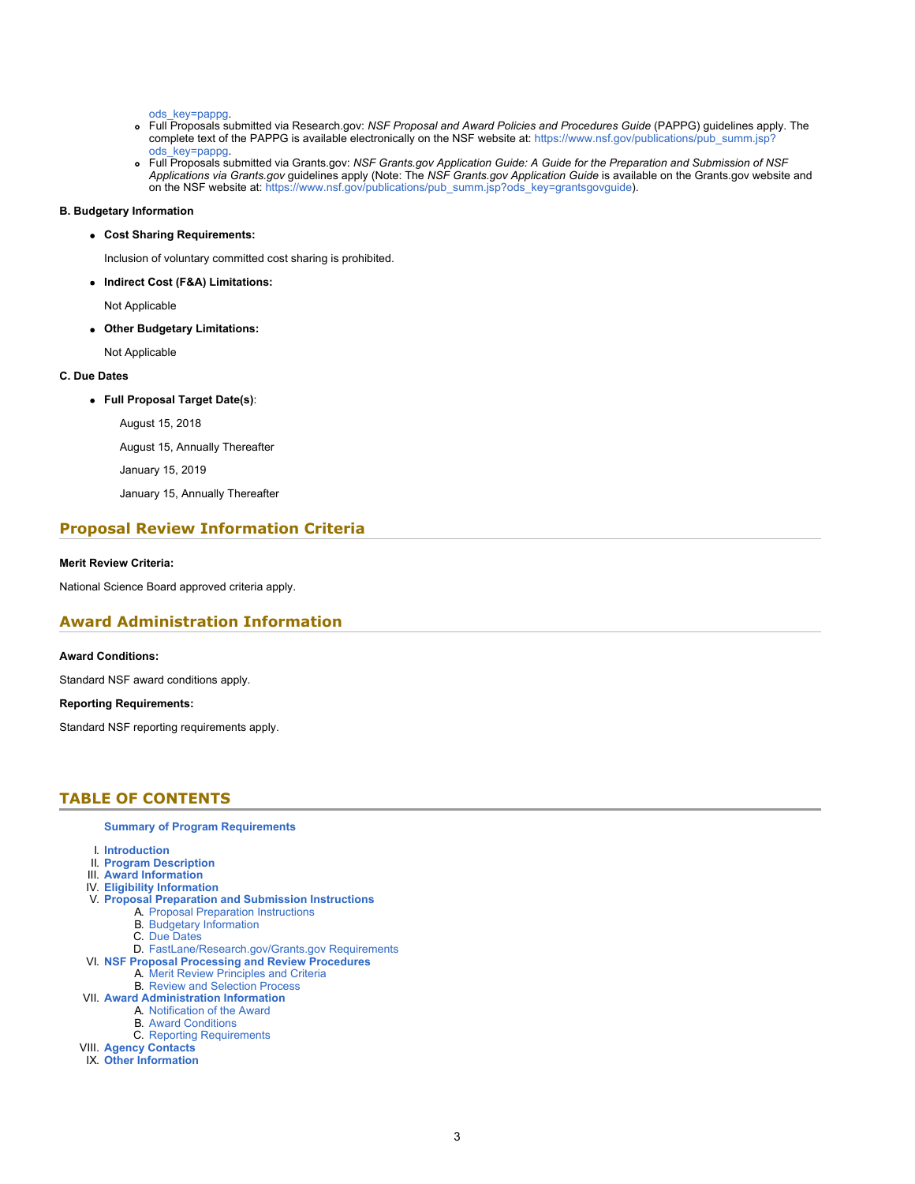[ods\\_key=pappg.](https://www.nsf.gov/publications/pub_summ.jsp?ods_key=pappg)

- Full Proposals submitted via Research.gov: *NSF Proposal and Award Policies and Procedures Guide* (PAPPG) guidelines apply. The complete text of the PAPPG is available electronically on the NSF website at: [https://www.nsf.gov/publications/pub\\_summ.jsp?](https://www.nsf.gov/publications/pub_summ.jsp?ods_key=pappg) [ods\\_key=pappg.](https://www.nsf.gov/publications/pub_summ.jsp?ods_key=pappg)
- Full Proposals submitted via Grants.gov: *NSF Grants.gov Application Guide: A Guide for the Preparation and Submission of NSF Applications via Grants.gov* guidelines apply (Note: The *NSF Grants.gov Application Guide* is available on the Grants.gov website and on the NSF website at: [https://www.nsf.gov/publications/pub\\_summ.jsp?ods\\_key=grantsgovguide](https://www.nsf.gov/publications/pub_summ.jsp?ods_key=grantsgovguide)).

### **B. Budgetary Information**

**Cost Sharing Requirements:**

Inclusion of voluntary committed cost sharing is prohibited.

**Indirect Cost (F&A) Limitations:**

Not Applicable

**Other Budgetary Limitations:**

Not Applicable

### **C. Due Dates**

**Full Proposal Target Date(s)**:

August 15, 2018

August 15, Annually Thereafter

January 15, 2019

January 15, Annually Thereafter

### **Proposal Review Information Criteria**

### **Merit Review Criteria:**

National Science Board approved criteria apply.

### **Award Administration Information**

### **Award Conditions:**

Standard NSF award conditions apply.

### **Reporting Requirements:**

Standard NSF reporting requirements apply.

# <span id="page-2-0"></span>**TABLE OF CONTENTS**

**[Summary of Program Requirements](#page-0-0)**

- I. **[Introduction](#page-3-0)**
- II. **[Program Description](#page-3-1)**
- III. **[Award Information](#page-6-0)**
- IV. **[Eligibility Information](#page-6-1)**
- V. **[Proposal Preparation and Submission Instructions](#page-6-2)**
	- A. [Proposal Preparation Instructions](#page-6-2)
		- B. [Budgetary Information](#page-8-0)
		- C. [Due Dates](#page-8-1)
	- D. [FastLane/Research.gov/Grants.gov Requirements](#page-9-0)
- VI. **[NSF Proposal Processing and Review Procedures](#page-9-1)**
	- A. [Merit Review Principles and Criteria](#page-9-2)
- B. [Review and Selection Process](#page-10-0)
- VII. **[Award Administration Information](#page-11-0)** A. [Notification of the Award](#page-11-1)
	- B. [Award Conditions](#page-11-2)
	- C. [Reporting Requirements](#page-11-3)
- VIII. **[Agency Contacts](#page-12-0)**
- IX. **[Other Information](#page-12-1)**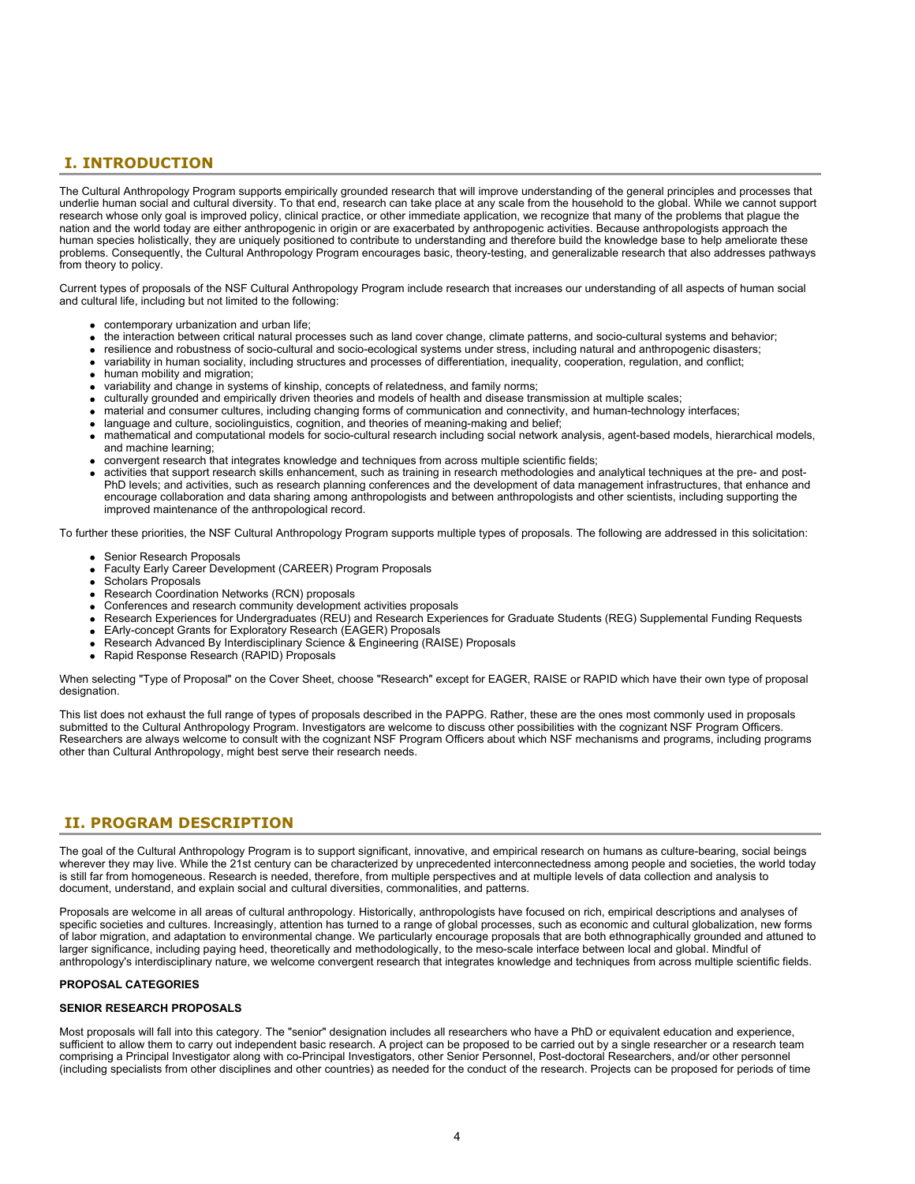# <span id="page-3-0"></span>**I. INTRODUCTION**

The Cultural Anthropology Program supports empirically grounded research that will improve understanding of the general principles and processes that underlie human social and cultural diversity. To that end, research can take place at any scale from the household to the global. While we cannot support research whose only goal is improved policy, clinical practice, or other immediate application, we recognize that many of the problems that plague the nation and the world today are either anthropogenic in origin or are exacerbated by anthropogenic activities. Because anthropologists approach the human species holistically, they are uniquely positioned to contribute to understanding and therefore build the knowledge base to help ameliorate these problems. Consequently, the Cultural Anthropology Program encourages basic, theory-testing, and generalizable research that also addresses pathways from theory to policy.

Current types of proposals of the NSF Cultural Anthropology Program include research that increases our understanding of all aspects of human social and cultural life, including but not limited to the following:

- contemporary urbanization and urban life;
- the interaction between critical natural processes such as land cover change, climate patterns, and socio-cultural systems and behavior;
- resilience and robustness of socio-cultural and socio-ecological systems under stress, including natural and anthropogenic disasters;
- variability in human sociality, including structures and processes of differentiation, inequality, cooperation, regulation, and conflict;
- human mobility and migration;
- variability and change in systems of kinship, concepts of relatedness, and family norms;
- culturally grounded and empirically driven theories and models of health and disease transmission at multiple scales;
- material and consumer cultures, including changing forms of communication and connectivity, and human-technology interfaces;
- language and culture, sociolinguistics, cognition, and theories of meaning-making and belief;
- mathematical and computational models for socio-cultural research including social network analysis, agent-based models, hierarchical models, and machine learning;
- convergent research that integrates knowledge and techniques from across multiple scientific fields;
- activities that support research skills enhancement, such as training in research methodologies and analytical techniques at the pre- and post-PhD levels; and activities, such as research planning conferences and the development of data management infrastructures, that enhance and encourage collaboration and data sharing among anthropologists and between anthropologists and other scientists, including supporting the improved maintenance of the anthropological record.

To further these priorities, the NSF Cultural Anthropology Program supports multiple types of proposals. The following are addressed in this solicitation:

- Senior Research Proposals
- Faculty Early Career Development (CAREER) Program Proposals
- Scholars Proposals
- Research Coordination Networks (RCN) proposals
- Conferences and research community development activities proposals
- Research Experiences for Undergraduates (REU) and Research Experiences for Graduate Students (REG) Supplemental Funding Requests
- EArly-concept Grants for Exploratory Research (EAGER) Proposals
- Research Advanced By Interdisciplinary Science & Engineering (RAISE) Proposals
- Rapid Response Research (RAPID) Proposals

When selecting "Type of Proposal" on the Cover Sheet, choose "Research" except for EAGER, RAISE or RAPID which have their own type of proposal designation

This list does not exhaust the full range of types of proposals described in the PAPPG. Rather, these are the ones most commonly used in proposals submitted to the Cultural Anthropology Program. Investigators are welcome to discuss other possibilities with the cognizant NSF Program Officers. Researchers are always welcome to consult with the cognizant NSF Program Officers about which NSF mechanisms and programs, including programs other than Cultural Anthropology, might best serve their research needs.

# <span id="page-3-1"></span>**II. PROGRAM DESCRIPTION**

The goal of the Cultural Anthropology Program is to support significant, innovative, and empirical research on humans as culture-bearing, social beings wherever they may live. While the 21st century can be characterized by unprecedented interconnectedness among people and societies, the world today is still far from homogeneous. Research is needed, therefore, from multiple perspectives and at multiple levels of data collection and analysis to document, understand, and explain social and cultural diversities, commonalities, and patterns.

Proposals are welcome in all areas of cultural anthropology. Historically, anthropologists have focused on rich, empirical descriptions and analyses of specific societies and cultures. Increasingly, attention has turned to a range of global processes, such as economic and cultural globalization, new forms of labor migration, and adaptation to environmental change. We particularly encourage proposals that are both ethnographically grounded and attuned to larger significance, including paying heed, theoretically and methodologically, to the meso-scale interface between local and global. Mindful of anthropology's interdisciplinary nature, we welcome convergent research that integrates knowledge and techniques from across multiple scientific fields.

### **PROPOSAL CATEGORIES**

#### **SENIOR RESEARCH PROPOSALS**

Most proposals will fall into this category. The "senior" designation includes all researchers who have a PhD or equivalent education and experience, sufficient to allow them to carry out independent basic research. A project can be proposed to be carried out by a single researcher or a research team comprising a Principal Investigator along with co-Principal Investigators, other Senior Personnel, Post-doctoral Researchers, and/or other personnel (including specialists from other disciplines and other countries) as needed for the conduct of the research. Projects can be proposed for periods of time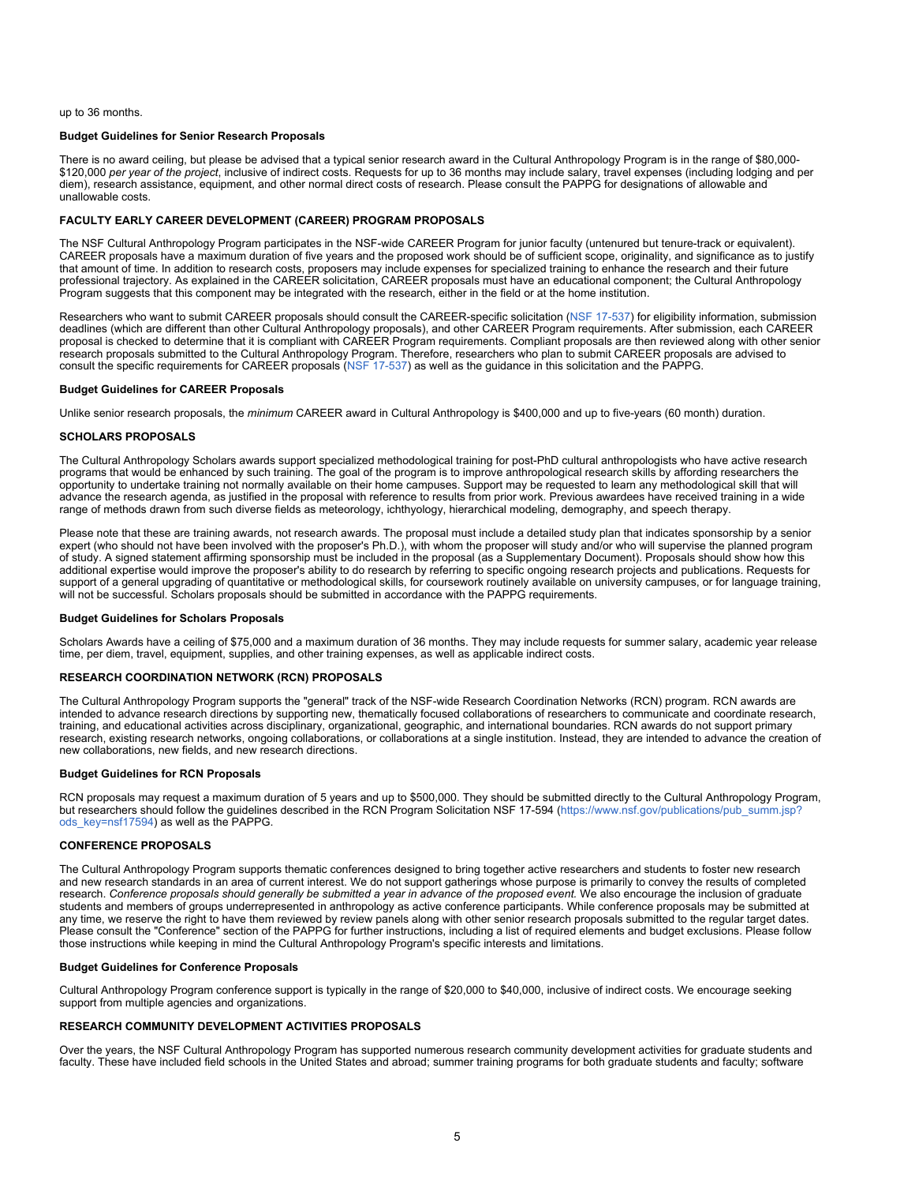up to 36 months.

#### **Budget Guidelines for Senior Research Proposals**

There is no award ceiling, but please be advised that a typical senior research award in the Cultural Anthropology Program is in the range of \$80,000- \$120,000 *per year of the project*, inclusive of indirect costs. Requests for up to 36 months may include salary, travel expenses (including lodging and per diem), research assistance, equipment, and other normal direct costs of research. Please consult the PAPPG for designations of allowable and unallowable costs.

### **FACULTY EARLY CAREER DEVELOPMENT (CAREER) PROGRAM PROPOSALS**

The NSF Cultural Anthropology Program participates in the NSF-wide CAREER Program for junior faculty (untenured but tenure-track or equivalent). CAREER proposals have a maximum duration of five years and the proposed work should be of sufficient scope, originality, and significance as to justify that amount of time. In addition to research costs, proposers may include expenses for specialized training to enhance the research and their future professional trajectory. As explained in the CAREER solicitation, CAREER proposals must have an educational component; the Cultural Anthropology Program suggests that this component may be integrated with the research, either in the field or at the home institution.

Researchers who want to submit CAREER proposals should consult the CAREER-specific solicitation [\(NSF 17-537](https://www.nsf.gov/publications/pub_summ.jsp?ods_key=nsf17537)) for eligibility information, submission deadlines (which are different than other Cultural Anthropology proposals), and other CAREER Program requirements. After submission, each CAREER proposal is checked to determine that it is compliant with CAREER Program requirements. Compliant proposals are then reviewed along with other senior research proposals submitted to the Cultural Anthropology Program. Therefore, researchers who plan to submit CAREER proposals are advised to consult the specific requirements for CAREER proposals [\(NSF 17-537](https://www.nsf.gov/publications/pub_summ.jsp?ods_key=nsf17537)) as well as the guidance in this solicitation and the PAPPG.

### **Budget Guidelines for CAREER Proposals**

Unlike senior research proposals, the *minimum* CAREER award in Cultural Anthropology is \$400,000 and up to five-years (60 month) duration.

### **SCHOLARS PROPOSALS**

The Cultural Anthropology Scholars awards support specialized methodological training for post-PhD cultural anthropologists who have active research programs that would be enhanced by such training. The goal of the program is to improve anthropological research skills by affording researchers the opportunity to undertake training not normally available on their home campuses. Support may be requested to learn any methodological skill that will advance the research agenda, as justified in the proposal with reference to results from prior work. Previous awardees have received training in a wide range of methods drawn from such diverse fields as meteorology, ichthyology, hierarchical modeling, demography, and speech therapy.

Please note that these are training awards, not research awards. The proposal must include a detailed study plan that indicates sponsorship by a senior expert (who should not have been involved with the proposer's Ph.D.), with whom the proposer will study and/or who will supervise the planned program of study. A signed statement affirming sponsorship must be included in the proposal (as a Supplementary Document). Proposals should show how this additional expertise would improve the proposer's ability to do research by referring to specific ongoing research projects and publications. Requests for support of a general upgrading of quantitative or methodological skills, for coursework routinely available on university campuses, or for language training, will not be successful. Scholars proposals should be submitted in accordance with the PAPPG requirements.

#### **Budget Guidelines for Scholars Proposals**

Scholars Awards have a ceiling of \$75,000 and a maximum duration of 36 months. They may include requests for summer salary, academic year release time, per diem, travel, equipment, supplies, and other training expenses, as well as applicable indirect costs.

#### **RESEARCH COORDINATION NETWORK (RCN) PROPOSALS**

The Cultural Anthropology Program supports the "general" track of the NSF-wide Research Coordination Networks (RCN) program. RCN awards are intended to advance research directions by supporting new, thematically focused collaborations of researchers to communicate and coordinate research, training, and educational activities across disciplinary, organizational, geographic, and international boundaries. RCN awards do not support primary research, existing research networks, ongoing collaborations, or collaborations at a single institution. Instead, they are intended to advance the creation of new collaborations, new fields, and new research directions.

#### **Budget Guidelines for RCN Proposals**

RCN proposals may request a maximum duration of 5 years and up to \$500,000. They should be submitted directly to the Cultural Anthropology Program, but researchers should follow the guidelines described in the RCN Program Solicitation NSF 17-594 [\(https://www.nsf.gov/publications/pub\\_summ.jsp?](https://www.nsf.gov/publications/pub_summ.jsp?ods_key=nsf17594) ods key=nsf17594) as well as the PAPPG.

### **CONFERENCE PROPOSALS**

The Cultural Anthropology Program supports thematic conferences designed to bring together active researchers and students to foster new research and new research standards in an area of current interest. We do not support gatherings whose purpose is primarily to convey the results of completed research. *Conference proposals should generally be submitted a year in advance of the proposed event.* We also encourage the inclusion of graduate students and members of groups underrepresented in anthropology as active conference participants. While conference proposals may be submitted at any time, we reserve the right to have them reviewed by review panels along with other senior research proposals submitted to the regular target dates. Please consult the "Conference" section of the PAPPG for further instructions, including a list of required elements and budget exclusions. Please follow those instructions while keeping in mind the Cultural Anthropology Program's specific interests and limitations.

#### **Budget Guidelines for Conference Proposals**

Cultural Anthropology Program conference support is typically in the range of \$20,000 to \$40,000, inclusive of indirect costs. We encourage seeking support from multiple agencies and organizations.

### **RESEARCH COMMUNITY DEVELOPMENT ACTIVITIES PROPOSALS**

Over the years, the NSF Cultural Anthropology Program has supported numerous research community development activities for graduate students and faculty. These have included field schools in the United States and abroad; summer training programs for both graduate students and faculty; software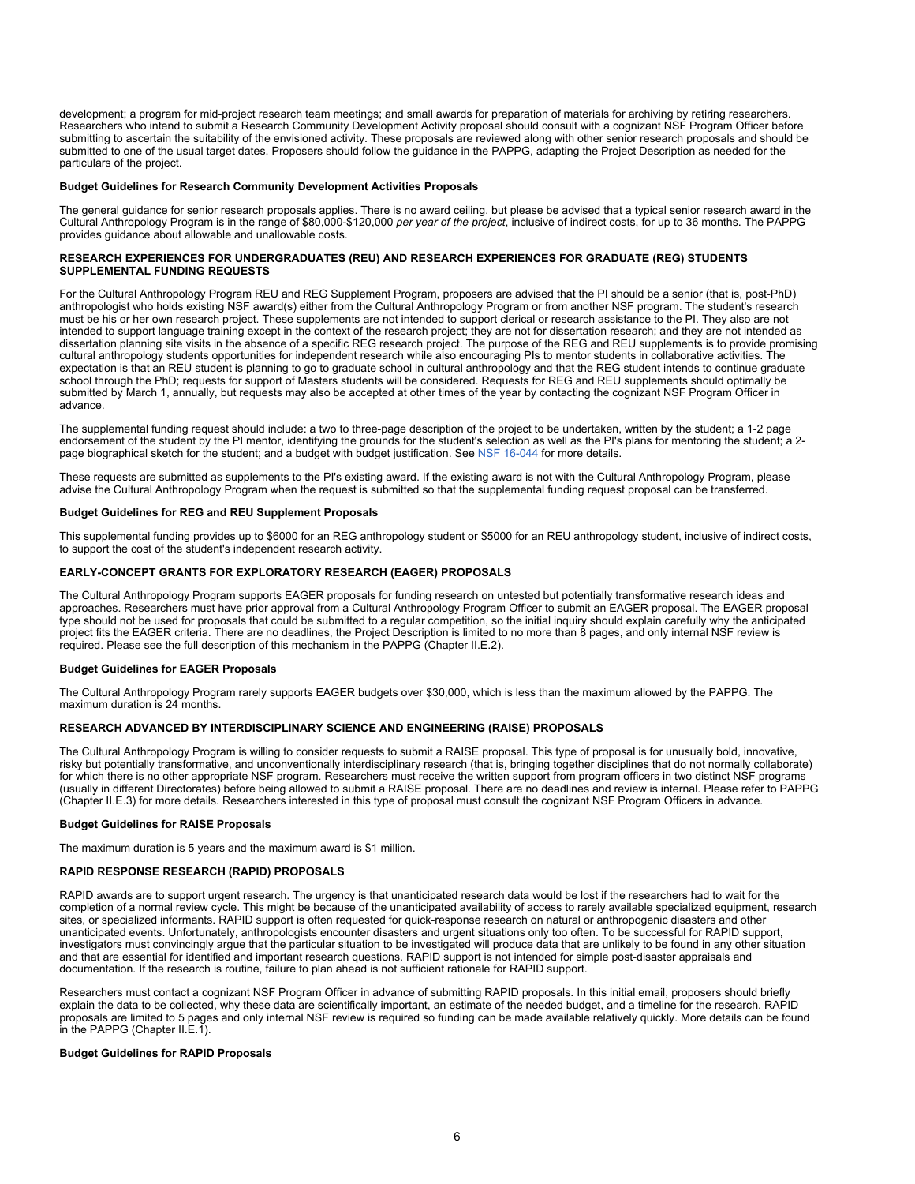development; a program for mid-project research team meetings; and small awards for preparation of materials for archiving by retiring researchers. Researchers who intend to submit a Research Community Development Activity proposal should consult with a cognizant NSF Program Officer before submitting to ascertain the suitability of the envisioned activity. These proposals are reviewed along with other senior research proposals and should be submitted to one of the usual target dates. Proposers should follow the guidance in the PAPPG, adapting the Project Description as needed for the particulars of the project.

#### **Budget Guidelines for Research Community Development Activities Proposals**

The general guidance for senior research proposals applies. There is no award ceiling, but please be advised that a typical senior research award in the Cultural Anthropology Program is in the range of \$80,000-\$120,000 *per year of the project*, inclusive of indirect costs, for up to 36 months. The PAPPG provides guidance about allowable and unallowable costs.

### **RESEARCH EXPERIENCES FOR UNDERGRADUATES (REU) AND RESEARCH EXPERIENCES FOR GRADUATE (REG) STUDENTS SUPPLEMENTAL FUNDING REQUESTS**

For the Cultural Anthropology Program REU and REG Supplement Program, proposers are advised that the PI should be a senior (that is, post-PhD) anthropologist who holds existing NSF award(s) either from the Cultural Anthropology Program or from another NSF program. The student's research must be his or her own research project. These supplements are not intended to support clerical or research assistance to the PI. They also are not intended to support language training except in the context of the research project; they are not for dissertation research; and they are not intended as dissertation planning site visits in the absence of a specific REG research project. The purpose of the REG and REU supplements is to provide promising cultural anthropology students opportunities for independent research while also encouraging PIs to mentor students in collaborative activities. The expectation is that an REU student is planning to go to graduate school in cultural anthropology and that the REG student intends to continue graduate school through the PhD; requests for support of Masters students will be considered. Requests for REG and REU supplements should optimally be submitted by March 1, annually, but requests may also be accepted at other times of the year by contacting the cognizant NSF Program Officer in advance.

The supplemental funding request should include: a two to three-page description of the project to be undertaken, written by the student; a 1-2 page endorsement of the student by the PI mentor, identifying the grounds for the student's selection as well as the PI's plans for mentoring the student; a 2 page biographical sketch for the student; and a budget with budget justification. See [NSF 16-044](https://www.nsf.gov/publications/pub_summ.jsp?ods_key=nsf16044) for more details.

These requests are submitted as supplements to the PI's existing award. If the existing award is not with the Cultural Anthropology Program, please advise the Cultural Anthropology Program when the request is submitted so that the supplemental funding request proposal can be transferred.

### **Budget Guidelines for REG and REU Supplement Proposals**

This supplemental funding provides up to \$6000 for an REG anthropology student or \$5000 for an REU anthropology student, inclusive of indirect costs, to support the cost of the student's independent research activity.

### **EARLY-CONCEPT GRANTS FOR EXPLORATORY RESEARCH (EAGER) PROPOSALS**

The Cultural Anthropology Program supports EAGER proposals for funding research on untested but potentially transformative research ideas and approaches. Researchers must have prior approval from a Cultural Anthropology Program Officer to submit an EAGER proposal. The EAGER proposal type should not be used for proposals that could be submitted to a regular competition, so the initial inquiry should explain carefully why the anticipated project fits the EAGER criteria. There are no deadlines, the Project Description is limited to no more than 8 pages, and only internal NSF review is required. Please see the full description of this mechanism in the PAPPG (Chapter II.E.2).

### **Budget Guidelines for EAGER Proposals**

The Cultural Anthropology Program rarely supports EAGER budgets over \$30,000, which is less than the maximum allowed by the PAPPG. The maximum duration is 24 months.

### **RESEARCH ADVANCED BY INTERDISCIPLINARY SCIENCE AND ENGINEERING (RAISE) PROPOSALS**

The Cultural Anthropology Program is willing to consider requests to submit a RAISE proposal. This type of proposal is for unusually bold, innovative, risky but potentially transformative, and unconventionally interdisciplinary research (that is, bringing together disciplines that do not normally collaborate) for which there is no other appropriate NSF program. Researchers must receive the written support from program officers in two distinct NSF programs (usually in different Directorates) before being allowed to submit a RAISE proposal. There are no deadlines and review is internal. Please refer to PAPPG (Chapter II.E.3) for more details. Researchers interested in this type of proposal must consult the cognizant NSF Program Officers in advance.

### **Budget Guidelines for RAISE Proposals**

The maximum duration is 5 years and the maximum award is \$1 million.

### **RAPID RESPONSE RESEARCH (RAPID) PROPOSALS**

RAPID awards are to support urgent research. The urgency is that unanticipated research data would be lost if the researchers had to wait for the completion of a normal review cycle. This might be because of the unanticipated availability of access to rarely available specialized equipment, research sites, or specialized informants. RAPID support is often requested for quick-response research on natural or anthropogenic disasters and other unanticipated events. Unfortunately, anthropologists encounter disasters and urgent situations only too often. To be successful for RAPID support, investigators must convincingly argue that the particular situation to be investigated will produce data that are unlikely to be found in any other situation and that are essential for identified and important research questions. RAPID support is not intended for simple post-disaster appraisals and documentation. If the research is routine, failure to plan ahead is not sufficient rationale for RAPID support.

Researchers must contact a cognizant NSF Program Officer in advance of submitting RAPID proposals. In this initial email, proposers should briefly explain the data to be collected, why these data are scientifically important, an estimate of the needed budget, and a timeline for the research. RAPID proposals are limited to 5 pages and only internal NSF review is required so funding can be made available relatively quickly. More details can be found in the PAPPG (Chapter II.E.1).

### **Budget Guidelines for RAPID Proposals**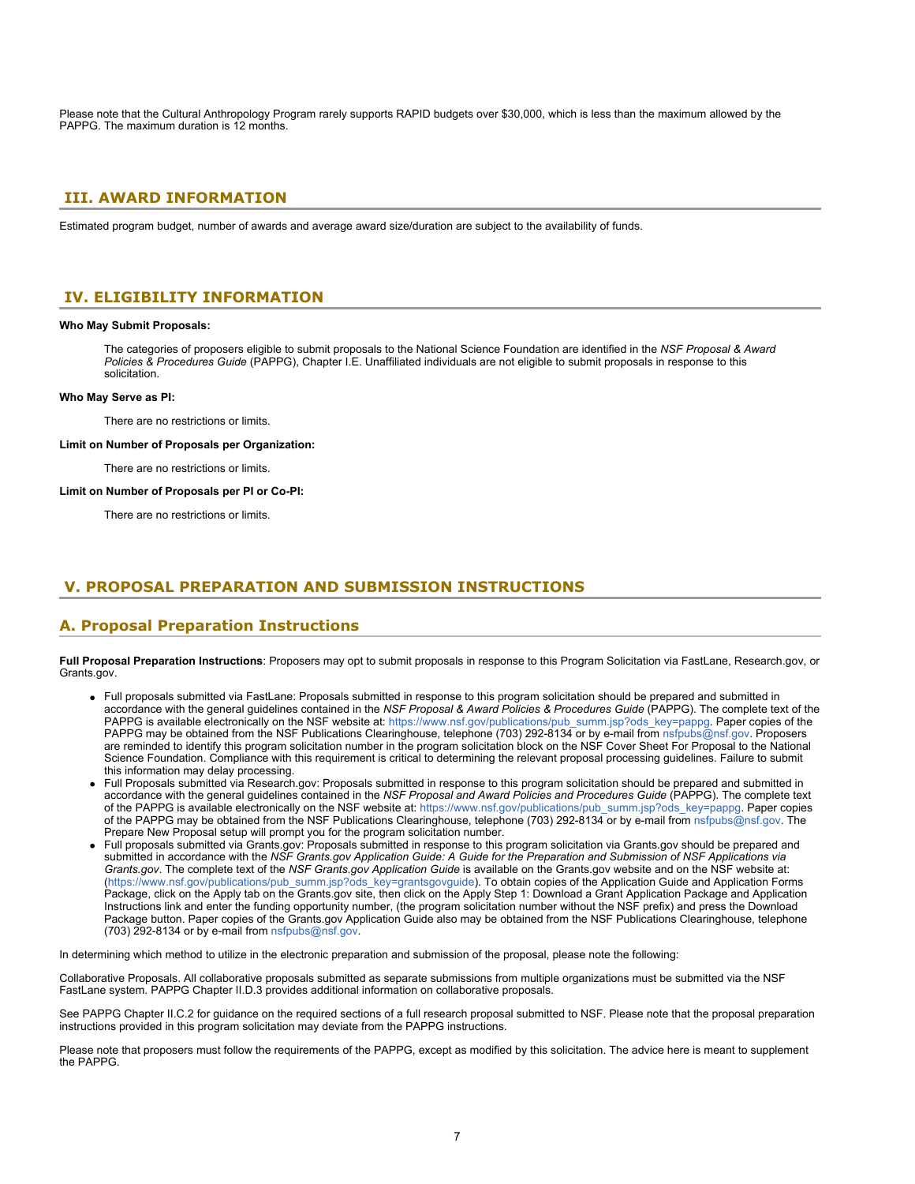Please note that the Cultural Anthropology Program rarely supports RAPID budgets over \$30,000, which is less than the maximum allowed by the PAPPG. The maximum duration is 12 months.

# <span id="page-6-0"></span>**III. AWARD INFORMATION**

Estimated program budget, number of awards and average award size/duration are subject to the availability of funds.

# <span id="page-6-1"></span>**IV. ELIGIBILITY INFORMATION**

### **Who May Submit Proposals:**

The categories of proposers eligible to submit proposals to the National Science Foundation are identified in the *NSF Proposal & Award Policies & Procedures Guide* (PAPPG), Chapter I.E. Unaffiliated individuals are not eligible to submit proposals in response to this solicitation.

### **Who May Serve as PI:**

There are no restrictions or limits.

### **Limit on Number of Proposals per Organization:**

There are no restrictions or limits.

### **Limit on Number of Proposals per PI or Co-PI:**

There are no restrictions or limits.

# <span id="page-6-2"></span>**V. PROPOSAL PREPARATION AND SUBMISSION INSTRUCTIONS**

# **A. Proposal Preparation Instructions**

**Full Proposal Preparation Instructions**: Proposers may opt to submit proposals in response to this Program Solicitation via FastLane, Research.gov, or Grants.gov.

- Full proposals submitted via FastLane: Proposals submitted in response to this program solicitation should be prepared and submitted in accordance with the general guidelines contained in the *NSF Proposal & Award Policies & Procedures Guide* (PAPPG). The complete text of the PAPPG is available electronically on the NSF website at: [https://www.nsf.gov/publications/pub\\_summ.jsp?ods\\_key=pappg](https://www.nsf.gov/publications/pub_summ.jsp?ods_key=pappg). Paper copies of the PAPPG may be obtained from the NSF Publications Clearinghouse, telephone (703) 292-8134 or by e-mail from [nsfpubs@nsf.gov](mailto:nsfpubs@nsf.gov). Proposers are reminded to identify this program solicitation number in the program solicitation block on the NSF Cover Sheet For Proposal to the National Science Foundation. Compliance with this requirement is critical to determining the relevant proposal processing guidelines. Failure to submit this information may delay processing.
- Full Proposals submitted via Research.gov: Proposals submitted in response to this program solicitation should be prepared and submitted in accordance with the general guidelines contained in the *NSF Proposal and Award Policies and Procedures Guide* (PAPPG). The complete text of the PAPPG is available electronically on the NSF website at: [https://www.nsf.gov/publications/pub\\_summ.jsp?ods\\_key=pappg](https://www.nsf.gov/publications/pub_summ.jsp?ods_key=pappg). Paper copies of the PAPPG may be obtained from the NSF Publications Clearinghouse, telephone (703) 292-8134 or by e-mail from [nsfpubs@nsf.gov](mailto:nsfpubs@nsf.gov). The Prepare New Proposal setup will prompt you for the program solicitation number.
- Full proposals submitted via Grants.gov: Proposals submitted in response to this program solicitation via Grants.gov should be prepared and submitted in accordance with the *NSF Grants.gov Application Guide: A Guide for the Preparation and Submission of NSF Applications via Grants.gov*. The complete text of the *NSF Grants.gov Application Guide* is available on the Grants.gov website and on the NSF website at: [\(https://www.nsf.gov/publications/pub\\_summ.jsp?ods\\_key=grantsgovguide](https://www.nsf.gov/publications/pub_summ.jsp?ods_key=grantsgovguide)). To obtain copies of the Application Guide and Application Forms Package, click on the Apply tab on the Grants.gov site, then click on the Apply Step 1: Download a Grant Application Package and Application Instructions link and enter the funding opportunity number, (the program solicitation number without the NSF prefix) and press the Download Package button. Paper copies of the Grants.gov Application Guide also may be obtained from the NSF Publications Clearinghouse, telephone (703) 292-8134 or by e-mail from [nsfpubs@nsf.gov](mailto:nsfpubs@nsf.gov).

In determining which method to utilize in the electronic preparation and submission of the proposal, please note the following:

Collaborative Proposals. All collaborative proposals submitted as separate submissions from multiple organizations must be submitted via the NSF FastLane system. PAPPG Chapter II.D.3 provides additional information on collaborative proposals.

See PAPPG Chapter II.C.2 for guidance on the required sections of a full research proposal submitted to NSF. Please note that the proposal preparation instructions provided in this program solicitation may deviate from the PAPPG instructions.

Please note that proposers must follow the requirements of the PAPPG, except as modified by this solicitation. The advice here is meant to supplement the PAPPG.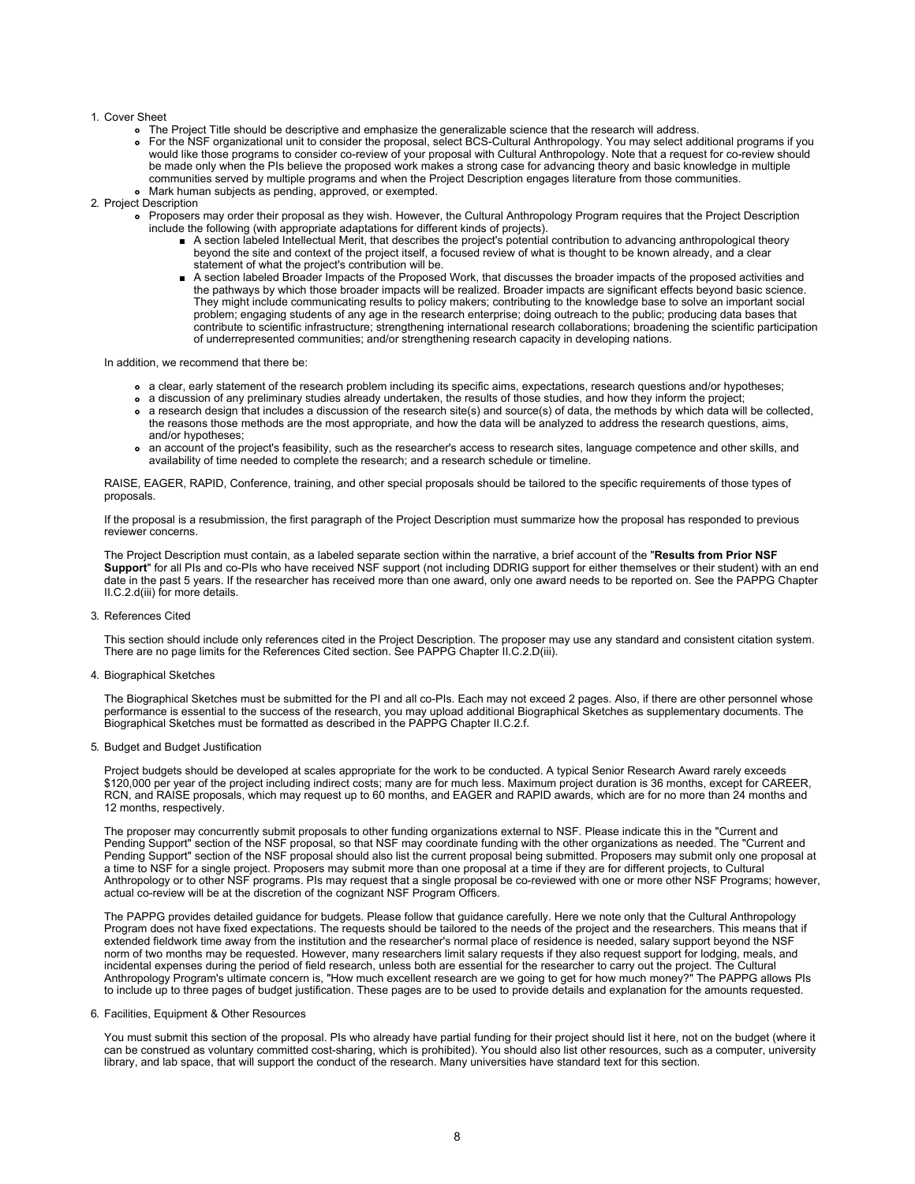#### 1. Cover Sheet

- The Project Title should be descriptive and emphasize the generalizable science that the research will address.
- For the NSF organizational unit to consider the proposal, select BCS-Cultural Anthropology. You may select additional programs if you would like those programs to consider co-review of your proposal with Cultural Anthropology. Note that a request for co-review should be made only when the PIs believe the proposed work makes a strong case for advancing theory and basic knowledge in multiple communities served by multiple programs and when the Project Description engages literature from those communities.
- Mark human subjects as pending, approved, or exempted.

### 2. Project Description

- Proposers may order their proposal as they wish. However, the Cultural Anthropology Program requires that the Project Description include the following (with appropriate adaptations for different kinds of projects).
	- A section labeled Intellectual Merit, that describes the project's potential contribution to advancing anthropological theory beyond the site and context of the project itself, a focused review of what is thought to be known already, and a clear statement of what the project's contribution will be.
	- A section labeled Broader Impacts of the Proposed Work, that discusses the broader impacts of the proposed activities and the pathways by which those broader impacts will be realized. Broader impacts are significant effects beyond basic science. They might include communicating results to policy makers; contributing to the knowledge base to solve an important social problem; engaging students of any age in the research enterprise; doing outreach to the public; producing data bases that contribute to scientific infrastructure; strengthening international research collaborations; broadening the scientific participation of underrepresented communities; and/or strengthening research capacity in developing nations.

In addition, we recommend that there be:

- a clear, early statement of the research problem including its specific aims, expectations, research questions and/or hypotheses;
- a discussion of any preliminary studies already undertaken, the results of those studies, and how they inform the project;
- a research design that includes a discussion of the research site(s) and source(s) of data, the methods by which data will be collected, the reasons those methods are the most appropriate, and how the data will be analyzed to address the research questions, aims, and/or hypotheses;
- an account of the project's feasibility, such as the researcher's access to research sites, language competence and other skills, and availability of time needed to complete the research; and a research schedule or timeline.

RAISE, EAGER, RAPID, Conference, training, and other special proposals should be tailored to the specific requirements of those types of proposals.

If the proposal is a resubmission, the first paragraph of the Project Description must summarize how the proposal has responded to previous reviewer concerns.

The Project Description must contain, as a labeled separate section within the narrative, a brief account of the "**Results from Prior NSF Support**" for all PIs and co-PIs who have received NSF support (not including DDRIG support for either themselves or their student) with an end date in the past 5 years. If the researcher has received more than one award, only one award needs to be reported on. See the PAPPG Chapter II.C.2.d(iii) for more details.

### 3. References Cited

This section should include only references cited in the Project Description. The proposer may use any standard and consistent citation system. There are no page limits for the References Cited section. See PAPPG Chapter II.C.2.D(iii).

### 4. Biographical Sketches

The Biographical Sketches must be submitted for the PI and all co-PIs. Each may not exceed 2 pages. Also, if there are other personnel whose performance is essential to the success of the research, you may upload additional Biographical Sketches as supplementary documents. The Biographical Sketches must be formatted as described in the PAPPG Chapter II.C.2.f.

### 5. Budget and Budget Justification

Project budgets should be developed at scales appropriate for the work to be conducted. A typical Senior Research Award rarely exceeds \$120,000 per year of the project including indirect costs; many are for much less. Maximum project duration is 36 months, except for CAREER, RCN, and RAISE proposals, which may request up to 60 months, and EAGER and RAPID awards, which are for no more than 24 months and 12 months, respectively.

The proposer may concurrently submit proposals to other funding organizations external to NSF. Please indicate this in the "Current and Pending Support" section of the NSF proposal, so that NSF may coordinate funding with the other organizations as needed. The "Current and Pending Support" section of the NSF proposal should also list the current proposal being submitted. Proposers may submit only one proposal at a time to NSF for a single project. Proposers may submit more than one proposal at a time if they are for different projects, to Cultural Anthropology or to other NSF programs. PIs may request that a single proposal be co-reviewed with one or more other NSF Programs; however, actual co-review will be at the discretion of the cognizant NSF Program Officers.

The PAPPG provides detailed guidance for budgets. Please follow that guidance carefully. Here we note only that the Cultural Anthropology Program does not have fixed expectations. The requests should be tailored to the needs of the project and the researchers. This means that if extended fieldwork time away from the institution and the researcher's normal place of residence is needed, salary support beyond the NSF norm of two months may be requested. However, many researchers limit salary requests if they also request support for lodging, meals, and incidental expenses during the period of field research, unless both are essential for the researcher to carry out the project. The Cultural Anthropology Program's ultimate concern is, "How much excellent research are we going to get for how much money?" The PAPPG allows PIs to include up to three pages of budget justification. These pages are to be used to provide details and explanation for the amounts requested.

#### 6. Facilities, Equipment & Other Resources

You must submit this section of the proposal. PIs who already have partial funding for their project should list it here, not on the budget (where it can be construed as voluntary committed cost-sharing, which is prohibited). You should also list other resources, such as a computer, university library, and lab space, that will support the conduct of the research. Many universities have standard text for this section.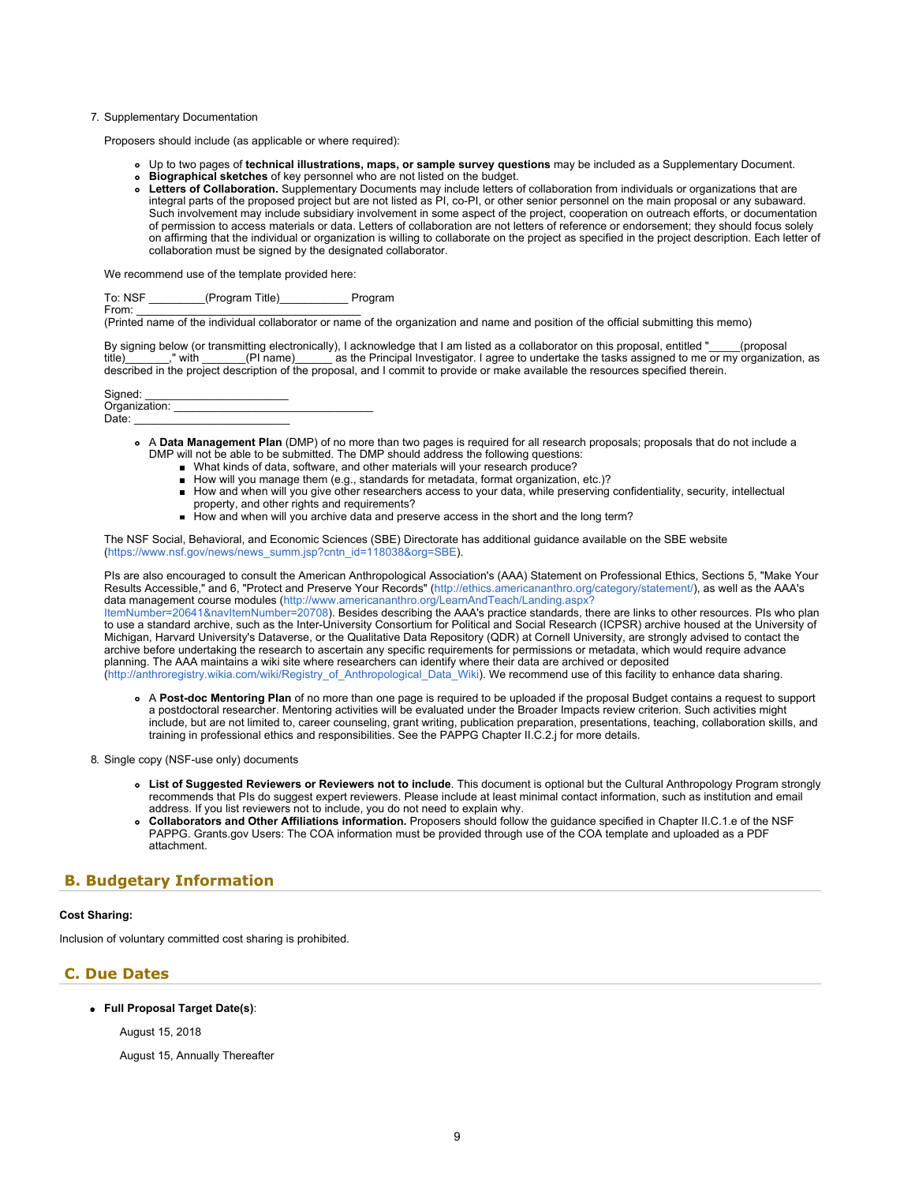#### 7. Supplementary Documentation

Proposers should include (as applicable or where required):

- Up to two pages of **technical illustrations, maps, or sample survey questions** may be included as a Supplementary Document.
- **Biographical sketches** of key personnel who are not listed on the budget.
- **Letters of Collaboration.** Supplementary Documents may include letters of collaboration from individuals or organizations that are  $\bullet$ integral parts of the proposed project but are not listed as PI, co-PI, or other senior personnel on the main proposal or any subaward. Such involvement may include subsidiary involvement in some aspect of the project, cooperation on outreach efforts, or documentation of permission to access materials or data. Letters of collaboration are not letters of reference or endorsement; they should focus solely on affirming that the individual or organization is willing to collaborate on the project as specified in the project description. Each letter of collaboration must be signed by the designated collaborator.

We recommend use of the template provided here:

| To: NSF | (Program Title) |  | Program |
|---------|-----------------|--|---------|
|---------|-----------------|--|---------|

From: \_\_\_\_\_\_\_\_\_\_\_\_\_\_\_\_\_\_\_\_\_\_\_\_\_\_\_\_\_\_\_\_\_\_\_\_ (Printed name of the individual collaborator or name of the organization and name and position of the official submitting this memo)

By signing below (or transmitting electronically), I acknowledge that I am listed as a collaborator on this proposal, entitled "\_\_\_\_\_(proposal title)\_\_\_\_\_\_\_," with \_\_\_\_\_\_\_(PI name)\_\_\_\_\_\_ as the Principal Investigator. I agree to undertake the tasks assigned to me or my organization, as described in the project description of the proposal, and I commit to provide or make available the resources specified therein.

| Signed:       |  |
|---------------|--|
| Organization: |  |
| Date:         |  |

- A **Data Management Plan** (DMP) of no more than two pages is required for all research proposals; proposals that do not include a DMP will not be able to be submitted. The DMP should address the following questions:
	- What kinds of data, software, and other materials will your research produce?  $\blacksquare$
	- How will you manage them (e.g., standards for metadata, format organization, etc.)?
	- How and when will you give other researchers access to your data, while preserving confidentiality, security, intellectual  $\blacksquare$ property, and other rights and requirements?
	- How and when will you archive data and preserve access in the short and the long term?

The NSF Social, Behavioral, and Economic Sciences (SBE) Directorate has additional guidance available on the SBE website [\(https://www.nsf.gov/news/news\\_summ.jsp?cntn\\_id=118038&org=SBE](https://www.nsf.gov/news/news_summ.jsp?cntn_id=118038&org=SBE)).

PIs are also encouraged to consult the American Anthropological Association's (AAA) Statement on Professional Ethics, Sections 5, "Make Your Results Accessible," and 6, "Protect and Preserve Your Records" [\(http://ethics.americananthro.org/category/statement/](https://www.nsf.gov/cgi-bin/goodbye?http://ethics.americananthro.org/category/statement/)), as well as the AAA's data management course modules ([http://www.americananthro.org/LearnAndTeach/Landing.aspx?](https://www.nsf.gov/cgi-bin/goodbye?http://www.americananthro.org/LearnAndTeach/Landing.aspx?ItemNumber=20641&navItemNumber=20708)

[ItemNumber=20641&navItemNumber=20708\)](https://www.nsf.gov/cgi-bin/goodbye?http://www.americananthro.org/LearnAndTeach/Landing.aspx?ItemNumber=20641&navItemNumber=20708). Besides describing the AAA's practice standards, there are links to other resources. PIs who plan to use a standard archive, such as the Inter-University Consortium for Political and Social Research (ICPSR) archive housed at the University of Michigan, Harvard University's Dataverse, or the Qualitative Data Repository (QDR) at Cornell University, are strongly advised to contact the archive before undertaking the research to ascertain any specific requirements for permissions or metadata, which would require advance planning. The AAA maintains a wiki site where researchers can identify where their data are archived or deposited [\(http://anthroregistry.wikia.com/wiki/Registry\\_of\\_Anthropological\\_Data\\_Wiki](https://www.nsf.gov/cgi-bin/goodbye?http://anthroregistry.wikia.com/wiki/Registry_of_Anthropological_Data_Wiki)). We recommend use of this facility to enhance data sharing.

- A **Post-doc Mentoring Plan** of no more than one page is required to be uploaded if the proposal Budget contains a request to support a postdoctoral researcher. Mentoring activities will be evaluated under the Broader Impacts review criterion. Such activities might include, but are not limited to, career counseling, grant writing, publication preparation, presentations, teaching, collaboration skills, and training in professional ethics and responsibilities. See the PAPPG Chapter II.C.2.j for more details.
- 8. Single copy (NSF-use only) documents
	- **List of Suggested Reviewers or Reviewers not to include**. This document is optional but the Cultural Anthropology Program strongly recommends that PIs do suggest expert reviewers. Please include at least minimal contact information, such as institution and email address. If you list reviewers not to include, you do not need to explain why.
	- **Collaborators and Other Affiliations information.** Proposers should follow the guidance specified in Chapter II.C.1.e of the NSF  $\bullet$ PAPPG. Grants.gov Users: The COA information must be provided through use of the COA template and uploaded as a PDF attachment.

# <span id="page-8-0"></span>**B. Budgetary Information**

### **Cost Sharing:**

Inclusion of voluntary committed cost sharing is prohibited.

### <span id="page-8-1"></span>**C. Due Dates**

### **Full Proposal Target Date(s)**:

August 15, 2018

August 15, Annually Thereafter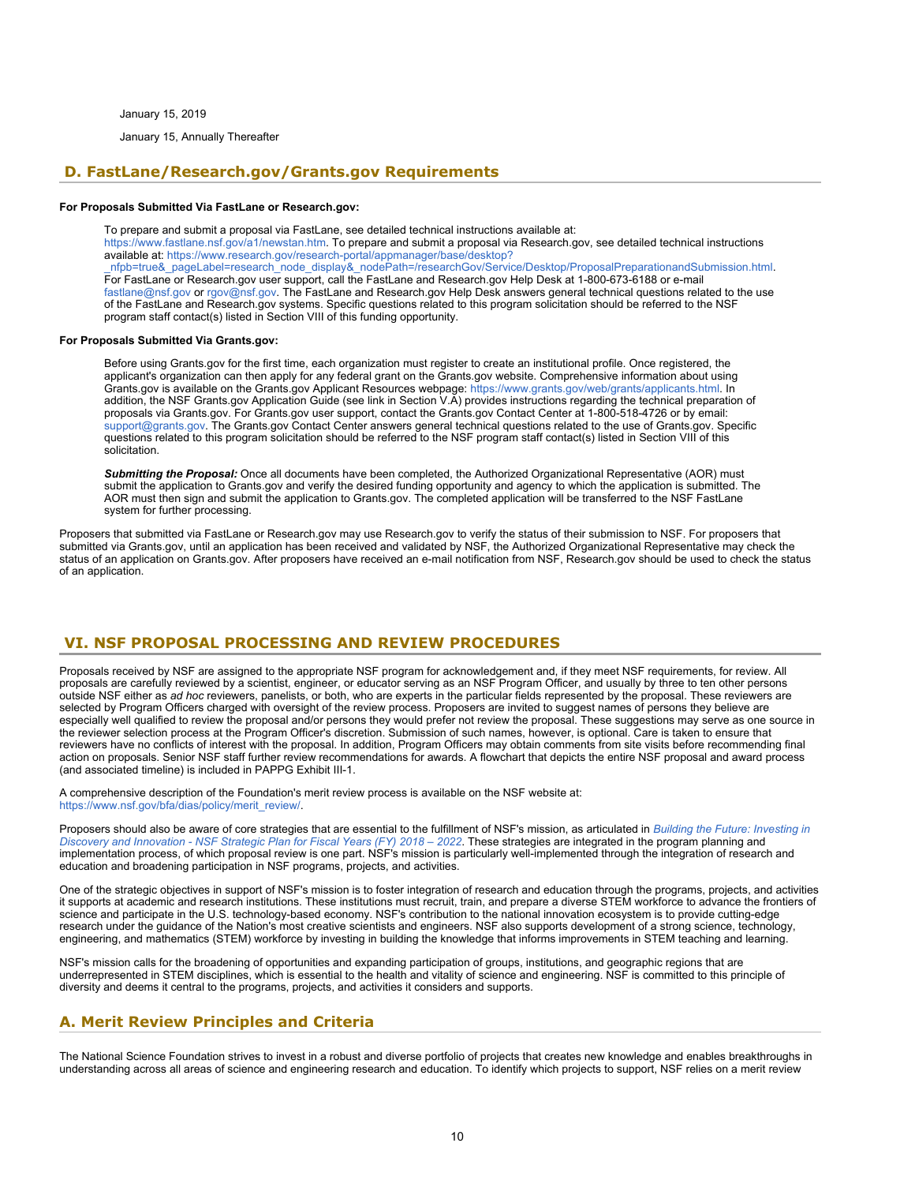January 15, 2019

January 15, Annually Thereafter

## <span id="page-9-0"></span>**D. FastLane/Research.gov/Grants.gov Requirements**

### **For Proposals Submitted Via FastLane or Research.gov:**

To prepare and submit a proposal via FastLane, see detailed technical instructions available at:

<https://www.fastlane.nsf.gov/a1/newstan.htm>. To prepare and submit a proposal via Research.gov, see detailed technical instructions available at: [https://www.research.gov/research-portal/appmanager/base/desktop?](https://www.research.gov/research-portal/appmanager/base/desktop?_nfpb=true&_pageLabel=research_node_display&_nodePath=/researchGov/Service/Desktop/ProposalPreparationandSubmission.html)

[\\_nfpb=true&\\_pageLabel=research\\_node\\_display&\\_nodePath=/researchGov/Service/Desktop/ProposalPreparationandSubmission.html](https://www.research.gov/research-portal/appmanager/base/desktop?_nfpb=true&_pageLabel=research_node_display&_nodePath=/researchGov/Service/Desktop/ProposalPreparationandSubmission.html). For FastLane or Research.gov user support, call the FastLane and Research.gov Help Desk at 1-800-673-6188 or e-mail [fastlane@nsf.gov](mailto:fastlane@nsf.gov) or [rgov@nsf.gov](mailto:rgov@nsf.gov). The FastLane and Research.gov Help Desk answers general technical questions related to the use of the FastLane and Research.gov systems. Specific questions related to this program solicitation should be referred to the NSF program staff contact(s) listed in Section VIII of this funding opportunity.

### **For Proposals Submitted Via Grants.gov:**

Before using Grants.gov for the first time, each organization must register to create an institutional profile. Once registered, the applicant's organization can then apply for any federal grant on the Grants.gov website. Comprehensive information about using Grants.gov is available on the Grants.gov Applicant Resources webpage:<https://www.grants.gov/web/grants/applicants.html>. In addition, the NSF Grants.gov Application Guide (see link in Section V.A) provides instructions regarding the technical preparation of proposals via Grants.gov. For Grants.gov user support, contact the Grants.gov Contact Center at 1-800-518-4726 or by email: [support@grants.gov.](mailto:support@grants.gov) The Grants.gov Contact Center answers general technical questions related to the use of Grants.gov. Specific questions related to this program solicitation should be referred to the NSF program staff contact(s) listed in Section VIII of this solicitation.

*Submitting the Proposal:* Once all documents have been completed, the Authorized Organizational Representative (AOR) must submit the application to Grants.gov and verify the desired funding opportunity and agency to which the application is submitted. The AOR must then sign and submit the application to Grants.gov. The completed application will be transferred to the NSF FastLane system for further processing.

Proposers that submitted via FastLane or Research.gov may use Research.gov to verify the status of their submission to NSF. For proposers that submitted via Grants.gov, until an application has been received and validated by NSF, the Authorized Organizational Representative may check the status of an application on Grants.gov. After proposers have received an e-mail notification from NSF, Research.gov should be used to check the status of an application.

# <span id="page-9-1"></span>**VI. NSF PROPOSAL PROCESSING AND REVIEW PROCEDURES**

Proposals received by NSF are assigned to the appropriate NSF program for acknowledgement and, if they meet NSF requirements, for review. All proposals are carefully reviewed by a scientist, engineer, or educator serving as an NSF Program Officer, and usually by three to ten other persons outside NSF either as *ad hoc* reviewers, panelists, or both, who are experts in the particular fields represented by the proposal. These reviewers are selected by Program Officers charged with oversight of the review process. Proposers are invited to suggest names of persons they believe are especially well qualified to review the proposal and/or persons they would prefer not review the proposal. These suggestions may serve as one source in the reviewer selection process at the Program Officer's discretion. Submission of such names, however, is optional. Care is taken to ensure that reviewers have no conflicts of interest with the proposal. In addition, Program Officers may obtain comments from site visits before recommending final action on proposals. Senior NSF staff further review recommendations for awards. A flowchart that depicts the entire NSF proposal and award process (and associated timeline) is included in PAPPG Exhibit III-1.

A comprehensive description of the Foundation's merit review process is available on the NSF website at: [https://www.nsf.gov/bfa/dias/policy/merit\\_review/](https://www.nsf.gov/bfa/dias/policy/merit_review/).

Proposers should also be aware of core strategies that are essential to the fulfillment of NSF's mission, as articulated in *[Building the Future: Investing in](https://www.nsf.gov/publications/pub_summ.jsp?ods_key=nsf18045) [Discovery and Innovation - NSF Strategic Plan for Fiscal Years \(FY\) 2018 – 2022](https://www.nsf.gov/publications/pub_summ.jsp?ods_key=nsf18045)*. These strategies are integrated in the program planning and implementation process, of which proposal review is one part. NSF's mission is particularly well-implemented through the integration of research and education and broadening participation in NSF programs, projects, and activities.

One of the strategic objectives in support of NSF's mission is to foster integration of research and education through the programs, projects, and activities it supports at academic and research institutions. These institutions must recruit, train, and prepare a diverse STEM workforce to advance the frontiers of science and participate in the U.S. technology-based economy. NSF's contribution to the national innovation ecosystem is to provide cutting-edge research under the guidance of the Nation's most creative scientists and engineers. NSF also supports development of a strong science, technology, engineering, and mathematics (STEM) workforce by investing in building the knowledge that informs improvements in STEM teaching and learning.

NSF's mission calls for the broadening of opportunities and expanding participation of groups, institutions, and geographic regions that are underrepresented in STEM disciplines, which is essential to the health and vitality of science and engineering. NSF is committed to this principle of diversity and deems it central to the programs, projects, and activities it considers and supports.

### <span id="page-9-2"></span>**A. Merit Review Principles and Criteria**

The National Science Foundation strives to invest in a robust and diverse portfolio of projects that creates new knowledge and enables breakthroughs in understanding across all areas of science and engineering research and education. To identify which projects to support, NSF relies on a merit review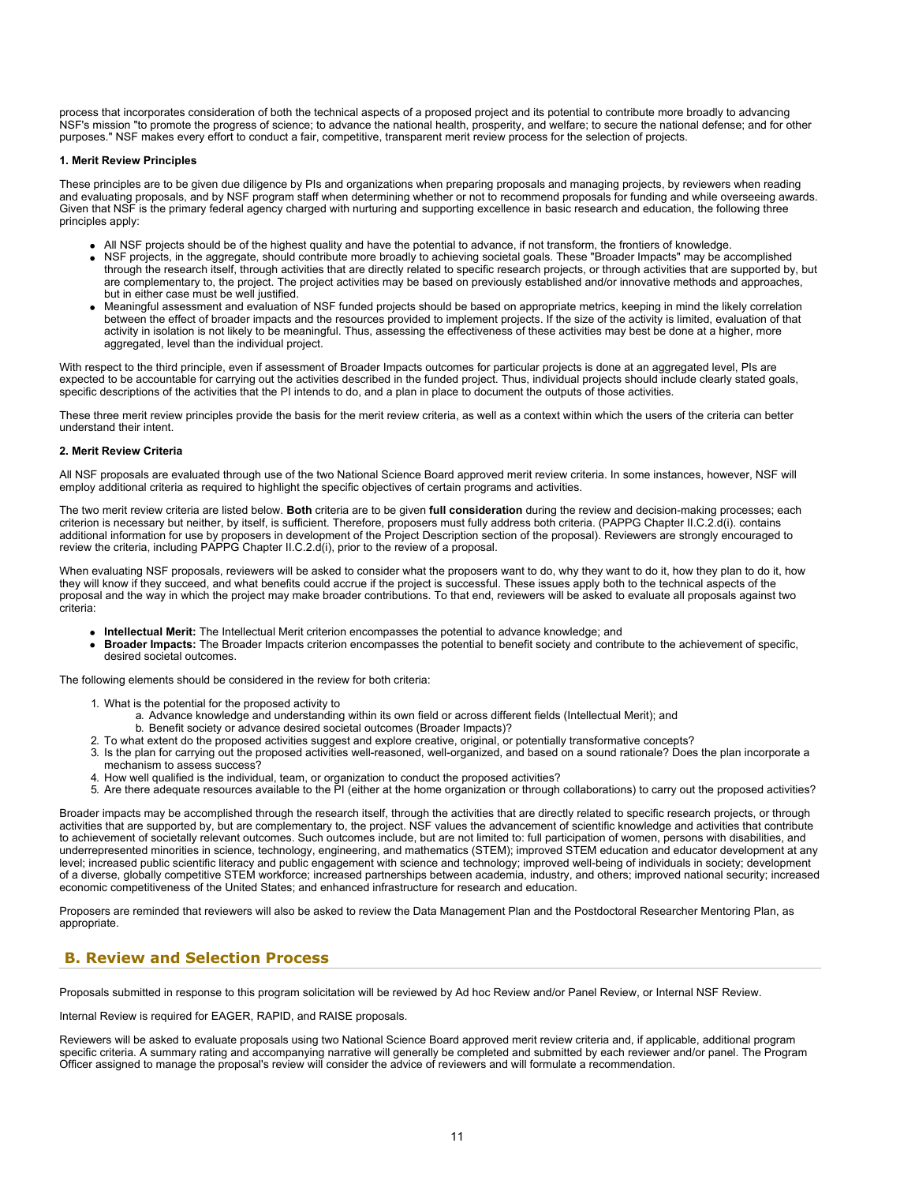process that incorporates consideration of both the technical aspects of a proposed project and its potential to contribute more broadly to advancing NSF's mission "to promote the progress of science; to advance the national health, prosperity, and welfare; to secure the national defense; and for other purposes." NSF makes every effort to conduct a fair, competitive, transparent merit review process for the selection of projects.

### **1. Merit Review Principles**

These principles are to be given due diligence by PIs and organizations when preparing proposals and managing projects, by reviewers when reading and evaluating proposals, and by NSF program staff when determining whether or not to recommend proposals for funding and while overseeing awards. Given that NSF is the primary federal agency charged with nurturing and supporting excellence in basic research and education, the following three principles apply:

- All NSF projects should be of the highest quality and have the potential to advance, if not transform, the frontiers of knowledge.
- NSF projects, in the aggregate, should contribute more broadly to achieving societal goals. These "Broader Impacts" may be accomplished through the research itself, through activities that are directly related to specific research projects, or through activities that are supported by, but are complementary to, the project. The project activities may be based on previously established and/or innovative methods and approaches, but in either case must be well justified.
- Meaningful assessment and evaluation of NSF funded projects should be based on appropriate metrics, keeping in mind the likely correlation between the effect of broader impacts and the resources provided to implement projects. If the size of the activity is limited, evaluation of that activity in isolation is not likely to be meaningful. Thus, assessing the effectiveness of these activities may best be done at a higher, more aggregated, level than the individual project.

With respect to the third principle, even if assessment of Broader Impacts outcomes for particular projects is done at an aggregated level, PIs are expected to be accountable for carrying out the activities described in the funded project. Thus, individual projects should include clearly stated goals, specific descriptions of the activities that the PI intends to do, and a plan in place to document the outputs of those activities.

These three merit review principles provide the basis for the merit review criteria, as well as a context within which the users of the criteria can better understand their intent.

### **2. Merit Review Criteria**

All NSF proposals are evaluated through use of the two National Science Board approved merit review criteria. In some instances, however, NSF will employ additional criteria as required to highlight the specific objectives of certain programs and activities.

The two merit review criteria are listed below. **Both** criteria are to be given **full consideration** during the review and decision-making processes; each criterion is necessary but neither, by itself, is sufficient. Therefore, proposers must fully address both criteria. (PAPPG Chapter II.C.2.d(i). contains additional information for use by proposers in development of the Project Description section of the proposal). Reviewers are strongly encouraged to review the criteria, including PAPPG Chapter II.C.2.d(i), prior to the review of a proposal.

When evaluating NSF proposals, reviewers will be asked to consider what the proposers want to do, why they want to do it, how they plan to do it, how they will know if they succeed, and what benefits could accrue if the project is successful. These issues apply both to the technical aspects of the proposal and the way in which the project may make broader contributions. To that end, reviewers will be asked to evaluate all proposals against two criteria:

- **Intellectual Merit:** The Intellectual Merit criterion encompasses the potential to advance knowledge; and
- **Broader Impacts:** The Broader Impacts criterion encompasses the potential to benefit society and contribute to the achievement of specific, desired societal outcomes.

The following elements should be considered in the review for both criteria:

- 1. What is the potential for the proposed activity to
	- a. Advance knowledge and understanding within its own field or across different fields (Intellectual Merit); and
	- b. Benefit society or advance desired societal outcomes (Broader Impacts)?
- 2. To what extent do the proposed activities suggest and explore creative, original, or potentially transformative concepts?
- 3. Is the plan for carrying out the proposed activities well-reasoned, well-organized, and based on a sound rationale? Does the plan incorporate a mechanism to assess success?
- 4. How well qualified is the individual, team, or organization to conduct the proposed activities?
- 5. Are there adequate resources available to the PI (either at the home organization or through collaborations) to carry out the proposed activities?

Broader impacts may be accomplished through the research itself, through the activities that are directly related to specific research projects, or through activities that are supported by, but are complementary to, the project. NSF values the advancement of scientific knowledge and activities that contribute to achievement of societally relevant outcomes. Such outcomes include, but are not limited to: full participation of women, persons with disabilities, and underrepresented minorities in science, technology, engineering, and mathematics (STEM); improved STEM education and educator development at any level; increased public scientific literacy and public engagement with science and technology; improved well-being of individuals in society; development of a diverse, globally competitive STEM workforce; increased partnerships between academia, industry, and others; improved national security; increased economic competitiveness of the United States; and enhanced infrastructure for research and education.

Proposers are reminded that reviewers will also be asked to review the Data Management Plan and the Postdoctoral Researcher Mentoring Plan, as appropriate.

# <span id="page-10-0"></span>**B. Review and Selection Process**

Proposals submitted in response to this program solicitation will be reviewed by Ad hoc Review and/or Panel Review, or Internal NSF Review.

Internal Review is required for EAGER, RAPID, and RAISE proposals.

Reviewers will be asked to evaluate proposals using two National Science Board approved merit review criteria and, if applicable, additional program specific criteria. A summary rating and accompanying narrative will generally be completed and submitted by each reviewer and/or panel. The Program Officer assigned to manage the proposal's review will consider the advice of reviewers and will formulate a recommendation.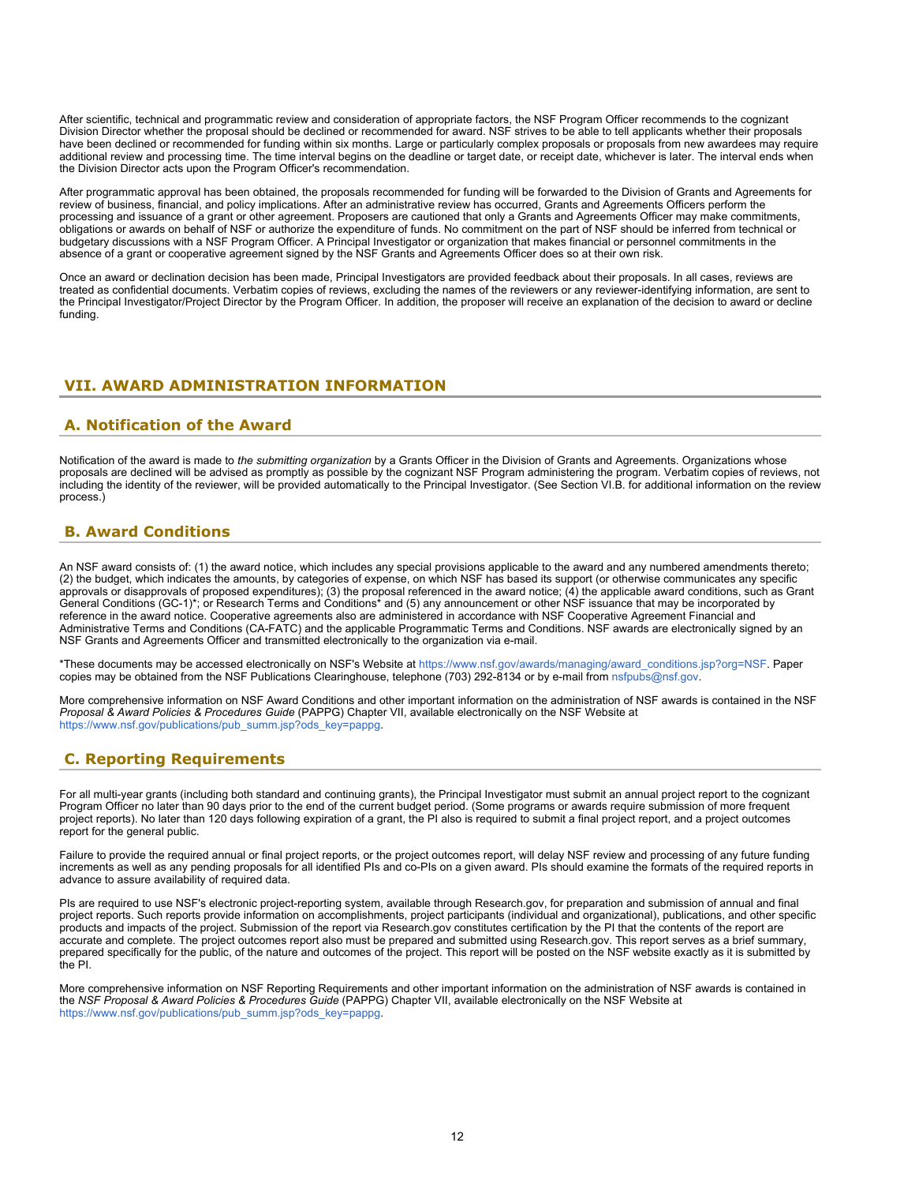After scientific, technical and programmatic review and consideration of appropriate factors, the NSF Program Officer recommends to the cognizant Division Director whether the proposal should be declined or recommended for award. NSF strives to be able to tell applicants whether their proposals have been declined or recommended for funding within six months. Large or particularly complex proposals or proposals from new awardees may require additional review and processing time. The time interval begins on the deadline or target date, or receipt date, whichever is later. The interval ends when the Division Director acts upon the Program Officer's recommendation.

After programmatic approval has been obtained, the proposals recommended for funding will be forwarded to the Division of Grants and Agreements for review of business, financial, and policy implications. After an administrative review has occurred, Grants and Agreements Officers perform the processing and issuance of a grant or other agreement. Proposers are cautioned that only a Grants and Agreements Officer may make commitments, obligations or awards on behalf of NSF or authorize the expenditure of funds. No commitment on the part of NSF should be inferred from technical or budgetary discussions with a NSF Program Officer. A Principal Investigator or organization that makes financial or personnel commitments in the absence of a grant or cooperative agreement signed by the NSF Grants and Agreements Officer does so at their own risk.

Once an award or declination decision has been made, Principal Investigators are provided feedback about their proposals. In all cases, reviews are treated as confidential documents. Verbatim copies of reviews, excluding the names of the reviewers or any reviewer-identifying information, are sent to the Principal Investigator/Project Director by the Program Officer. In addition, the proposer will receive an explanation of the decision to award or decline funding.

### <span id="page-11-0"></span>**VII. AWARD ADMINISTRATION INFORMATION**

### <span id="page-11-1"></span>**A. Notification of the Award**

Notification of the award is made to *the submitting organization* by a Grants Officer in the Division of Grants and Agreements. Organizations whose proposals are declined will be advised as promptly as possible by the cognizant NSF Program administering the program. Verbatim copies of reviews, not including the identity of the reviewer, will be provided automatically to the Principal Investigator. (See Section VI.B. for additional information on the review process.)

# <span id="page-11-2"></span>**B. Award Conditions**

An NSF award consists of: (1) the award notice, which includes any special provisions applicable to the award and any numbered amendments thereto; (2) the budget, which indicates the amounts, by categories of expense, on which NSF has based its support (or otherwise communicates any specific approvals or disapprovals of proposed expenditures); (3) the proposal referenced in the award notice; (4) the applicable award conditions, such as Grant General Conditions (GC-1)\*; or Research Terms and Conditions\* and (5) any announcement or other NSF issuance that may be incorporated by reference in the award notice. Cooperative agreements also are administered in accordance with NSF Cooperative Agreement Financial and Administrative Terms and Conditions (CA-FATC) and the applicable Programmatic Terms and Conditions. NSF awards are electronically signed by an NSF Grants and Agreements Officer and transmitted electronically to the organization via e-mail.

\*These documents may be accessed electronically on NSF's Website at [https://www.nsf.gov/awards/managing/award\\_conditions.jsp?org=NSF](https://www.nsf.gov/awards/managing/award_conditions.jsp?org=NSF). Paper copies may be obtained from the NSF Publications Clearinghouse, telephone (703) 292-8134 or by e-mail from [nsfpubs@nsf.gov.](mailto:nsfpubs@nsf.gov)

More comprehensive information on NSF Award Conditions and other important information on the administration of NSF awards is contained in the NSF *Proposal & Award Policies & Procedures Guide* (PAPPG) Chapter VII, available electronically on the NSF Website at [https://www.nsf.gov/publications/pub\\_summ.jsp?ods\\_key=pappg.](https://www.nsf.gov/publications/pub_summ.jsp?ods_key=pappg)

# <span id="page-11-3"></span>**C. Reporting Requirements**

For all multi-year grants (including both standard and continuing grants), the Principal Investigator must submit an annual project report to the cognizant Program Officer no later than 90 days prior to the end of the current budget period. (Some programs or awards require submission of more frequent project reports). No later than 120 days following expiration of a grant, the PI also is required to submit a final project report, and a project outcomes report for the general public.

Failure to provide the required annual or final project reports, or the project outcomes report, will delay NSF review and processing of any future funding increments as well as any pending proposals for all identified PIs and co-PIs on a given award. PIs should examine the formats of the required reports in advance to assure availability of required data.

PIs are required to use NSF's electronic project-reporting system, available through Research.gov, for preparation and submission of annual and final project reports. Such reports provide information on accomplishments, project participants (individual and organizational), publications, and other specific products and impacts of the project. Submission of the report via Research.gov constitutes certification by the PI that the contents of the report are accurate and complete. The project outcomes report also must be prepared and submitted using Research.gov. This report serves as a brief summary, prepared specifically for the public, of the nature and outcomes of the project. This report will be posted on the NSF website exactly as it is submitted by the PI.

More comprehensive information on NSF Reporting Requirements and other important information on the administration of NSF awards is contained in the *NSF Proposal & Award Policies & Procedures Guide* (PAPPG) Chapter VII, available electronically on the NSF Website at [https://www.nsf.gov/publications/pub\\_summ.jsp?ods\\_key=pappg.](https://www.nsf.gov/publications/pub_summ.jsp?ods_key=pappg)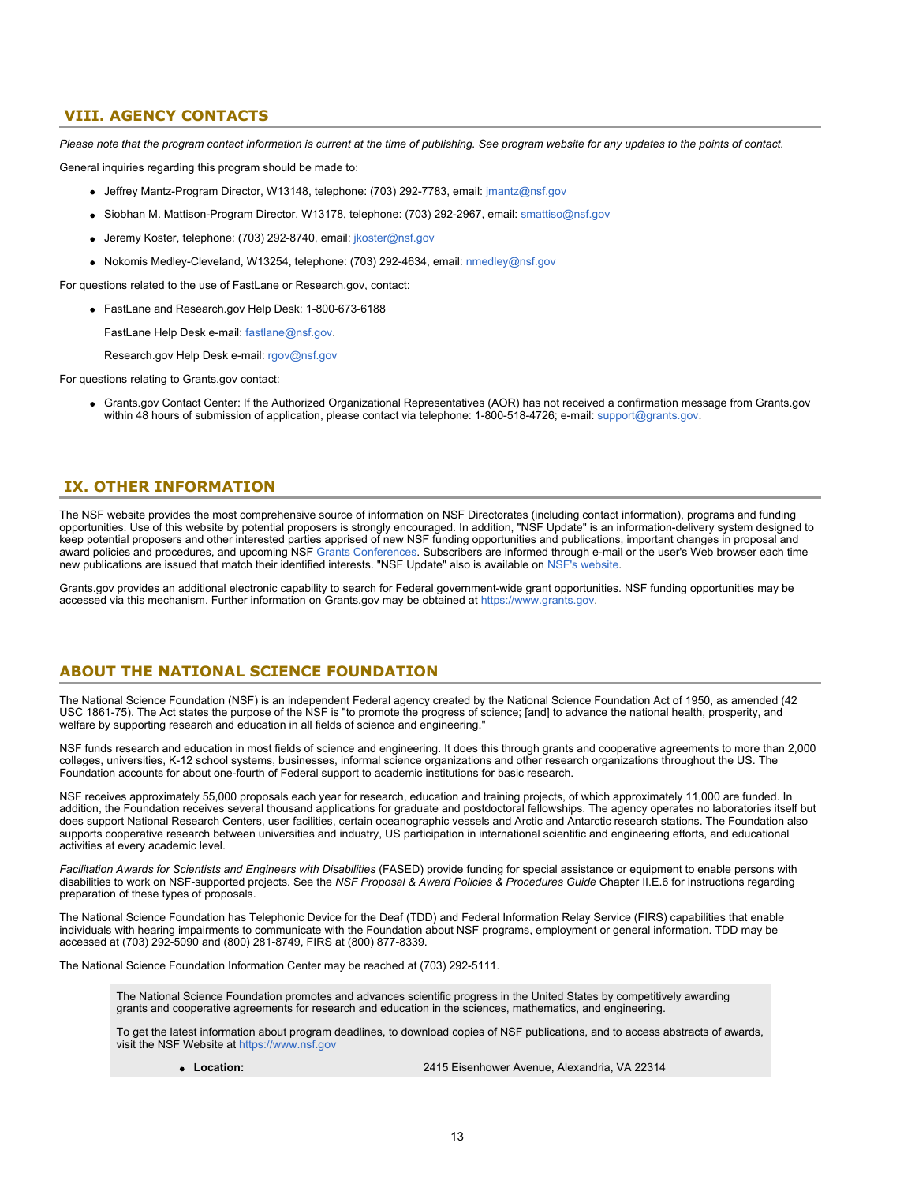# <span id="page-12-0"></span>**VIII. AGENCY CONTACTS**

*Please note that the program contact information is current at the time of publishing. See program website for any updates to the points of contact.* General inquiries regarding this program should be made to:

- Jeffrey Mantz-Program Director, W13148, telephone: (703) 292-7783, email: [jmantz@nsf.gov](mailto:jmantz@nsf.gov)
- Siobhan M. Mattison-Program Director, W13178, telephone: (703) 292-2967, email: [smattiso@nsf.gov](mailto:smattiso@nsf.gov)
- Jeremy Koster, telephone: (703) 292-8740, email: [jkoster@nsf.gov](mailto:jkoster@nsf.gov)
- Nokomis Medley-Cleveland, W13254, telephone: (703) 292-4634, email: [nmedley@nsf.gov](mailto:nmedley@nsf.gov)

For questions related to the use of FastLane or Research.gov, contact:

FastLane and Research.gov Help Desk: 1-800-673-6188

FastLane Help Desk e-mail: [fastlane@nsf.gov](mailto:fastlane@nsf.gov).

Research.gov Help Desk e-mail: [rgov@nsf.gov](mailto:rgov@nsf.gov)

For questions relating to Grants.gov contact:

Grants.gov Contact Center: If the Authorized Organizational Representatives (AOR) has not received a confirmation message from Grants.gov within 48 hours of submission of application, please contact via telephone: 1-800-518-4726; e-mail: [support@grants.gov.](mailto:support@grants.gov)

### <span id="page-12-1"></span>**IX. OTHER INFORMATION**

The NSF website provides the most comprehensive source of information on NSF Directorates (including contact information), programs and funding opportunities. Use of this website by potential proposers is strongly encouraged. In addition, "NSF Update" is an information-delivery system designed to keep potential proposers and other interested parties apprised of new NSF funding opportunities and publications, important changes in proposal and award policies and procedures, and upcoming NSF [Grants Conferences](https://www.nsf.gov/bfa/dias/policy/outreach.jsp). Subscribers are informed through e-mail or the user's Web browser each time new publications are issued that match their identified interests. "NSF Update" also is available on [NSF's website](https://www.nsf.gov/cgi-bin/goodbye?https://public.govdelivery.com/accounts/USNSF/subscriber/new?topic_id=USNSF_179).

Grants.gov provides an additional electronic capability to search for Federal government-wide grant opportunities. NSF funding opportunities may be accessed via this mechanism. Further information on Grants.gov may be obtained at [https://www.grants.gov.](https://www.grants.gov/)

### **ABOUT THE NATIONAL SCIENCE FOUNDATION**

The National Science Foundation (NSF) is an independent Federal agency created by the National Science Foundation Act of 1950, as amended (42 USC 1861-75). The Act states the purpose of the NSF is "to promote the progress of science; [and] to advance the national health, prosperity, and welfare by supporting research and education in all fields of science and engineering."

NSF funds research and education in most fields of science and engineering. It does this through grants and cooperative agreements to more than 2,000 colleges, universities, K-12 school systems, businesses, informal science organizations and other research organizations throughout the US. The Foundation accounts for about one-fourth of Federal support to academic institutions for basic research.

NSF receives approximately 55,000 proposals each year for research, education and training projects, of which approximately 11,000 are funded. In addition, the Foundation receives several thousand applications for graduate and postdoctoral fellowships. The agency operates no laboratories itself but does support National Research Centers, user facilities, certain oceanographic vessels and Arctic and Antarctic research stations. The Foundation also supports cooperative research between universities and industry, US participation in international scientific and engineering efforts, and educational activities at every academic level.

*Facilitation Awards for Scientists and Engineers with Disabilities* (FASED) provide funding for special assistance or equipment to enable persons with disabilities to work on NSF-supported projects. See the *NSF Proposal & Award Policies & Procedures Guide* Chapter II.E.6 for instructions regarding preparation of these types of proposals.

The National Science Foundation has Telephonic Device for the Deaf (TDD) and Federal Information Relay Service (FIRS) capabilities that enable individuals with hearing impairments to communicate with the Foundation about NSF programs, employment or general information. TDD may be accessed at (703) 292-5090 and (800) 281-8749, FIRS at (800) 877-8339.

The National Science Foundation Information Center may be reached at (703) 292-5111.

The National Science Foundation promotes and advances scientific progress in the United States by competitively awarding grants and cooperative agreements for research and education in the sciences, mathematics, and engineering.

To get the latest information about program deadlines, to download copies of NSF publications, and to access abstracts of awards, visit the NSF Website at [https://www.nsf.gov](https://www.nsf.gov/)

**Location:** 2415 Eisenhower Avenue, Alexandria, VA 22314